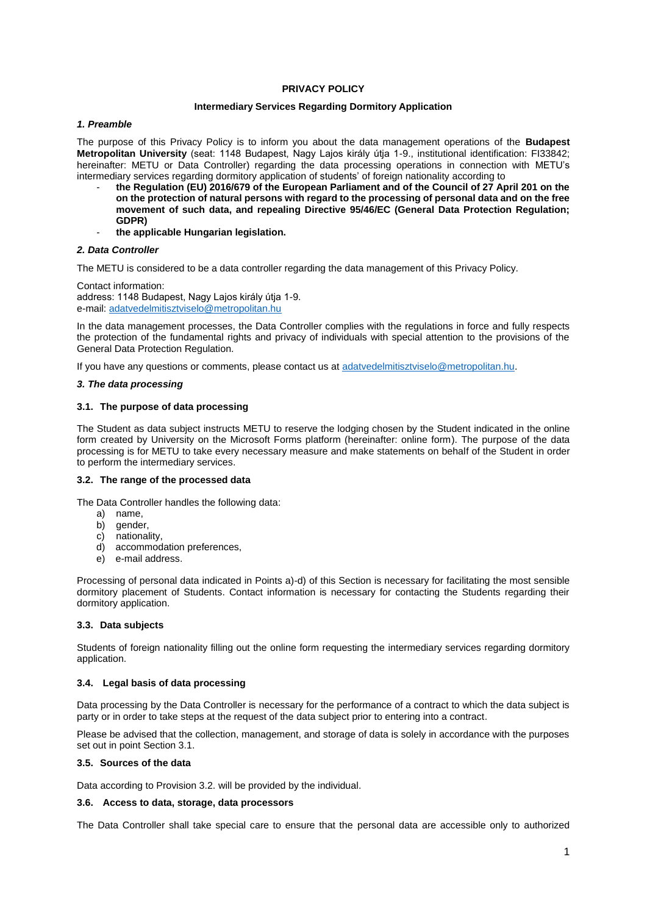# **PRIVACY POLICY**

## **Intermediary Services Regarding Dormitory Application**

# *1. Preamble*

The purpose of this Privacy Policy is to inform you about the data management operations of the **Budapest Metropolitan University** (seat: 1148 Budapest, Nagy Lajos király útja 1-9., institutional identification: FI33842; hereinafter: METU or Data Controller) regarding the data processing operations in connection with METU's intermediary services regarding dormitory application of students' of foreign nationality according to

- **the Regulation (EU) 2016/679 of the European Parliament and of the Council of 27 April 201 on the on the protection of natural persons with regard to the processing of personal data and on the free movement of such data, and repealing Directive 95/46/EC (General Data Protection Regulation; GDPR)**
- **the applicable Hungarian legislation.**

# *2. Data Controller*

The METU is considered to be a data controller regarding the data management of this Privacy Policy.

Contact information: address: 1148 Budapest, Nagy Lajos király útja 1-9. e-mail: [adatvedelmitisztviselo@metropolitan.hu](mailto:adatvedelmitisztviselo@metropolitan.hu)

In the data management processes, the Data Controller complies with the regulations in force and fully respects the protection of the fundamental rights and privacy of individuals with special attention to the provisions of the General Data Protection Regulation.

If you have any questions or comments, please contact us at [adatvedelmitisztviselo@metropolitan.hu.](mailto:adatvedelmitisztviselo@metropolitan.hu)

## *3. The data processing*

# **3.1. The purpose of data processing**

The Student as data subject instructs METU to reserve the lodging chosen by the Student indicated in the online form created by University on the Microsoft Forms platform (hereinafter: online form). The purpose of the data processing is for METU to take every necessary measure and make statements on behalf of the Student in order to perform the intermediary services.

# **3.2. The range of the processed data**

The Data Controller handles the following data:

- a) name,
- b) gender,
- c) nationality,
- d) accommodation preferences,
- e) e-mail address.

Processing of personal data indicated in Points a)-d) of this Section is necessary for facilitating the most sensible dormitory placement of Students. Contact information is necessary for contacting the Students regarding their dormitory application.

## **3.3. Data subjects**

Students of foreign nationality filling out the online form requesting the intermediary services regarding dormitory application.

# **3.4. Legal basis of data processing**

Data processing by the Data Controller is necessary for the performance of a contract to which the data subject is party or in order to take steps at the request of the data subject prior to entering into a contract.

Please be advised that the collection, management, and storage of data is solely in accordance with the purposes set out in point Section 3.1.

# **3.5. Sources of the data**

Data according to Provision 3.2. will be provided by the individual.

## **3.6. Access to data, storage, data processors**

The Data Controller shall take special care to ensure that the personal data are accessible only to authorized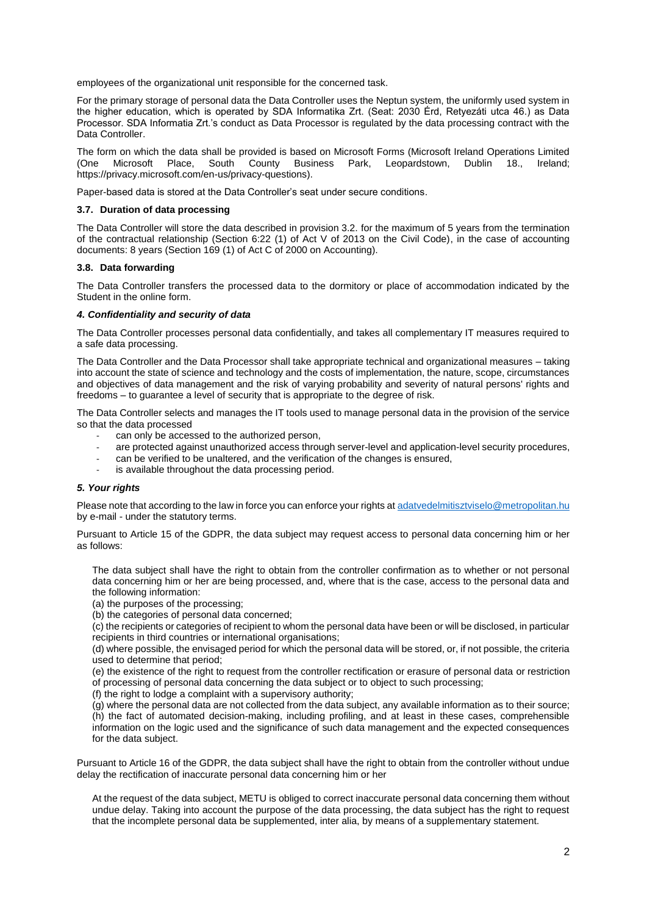employees of the organizational unit responsible for the concerned task.

For the primary storage of personal data the Data Controller uses the Neptun system, the uniformly used system in the higher education, which is operated by SDA Informatika Zrt. (Seat: 2030 Érd, Retyezáti utca 46.) as Data Processor. SDA Informatia Zrt.'s conduct as Data Processor is regulated by the data processing contract with the Data Controller.

The form on which the data shall be provided is based on Microsoft Forms (Microsoft Ireland Operations Limited (One Microsoft Place, South County Business Park, Leopardstown, Dublin 18., Ireland; https://privacy.microsoft.com/en-us/privacy-questions).

Paper-based data is stored at the Data Controller's seat under secure conditions.

### **3.7. Duration of data processing**

The Data Controller will store the data described in provision 3.2. for the maximum of 5 years from the termination of the contractual relationship (Section 6:22 (1) of Act V of 2013 on the Civil Code), in the case of accounting documents: 8 years (Section 169 (1) of Act C of 2000 on Accounting).

### **3.8. Data forwarding**

The Data Controller transfers the processed data to the dormitory or place of accommodation indicated by the Student in the online form.

#### *4. Confidentiality and security of data*

The Data Controller processes personal data confidentially, and takes all complementary IT measures required to a safe data processing.

The Data Controller and the Data Processor shall take appropriate technical and organizational measures – taking into account the state of science and technology and the costs of implementation, the nature, scope, circumstances and objectives of data management and the risk of varying probability and severity of natural persons' rights and freedoms – to guarantee a level of security that is appropriate to the degree of risk.

The Data Controller selects and manages the IT tools used to manage personal data in the provision of the service so that the data processed

- can only be accessed to the authorized person,
- are protected against unauthorized access through server-level and application-level security procedures,
- can be verified to be unaltered, and the verification of the changes is ensured,
- is available throughout the data processing period.

## *5. Your rights*

Please note that according to the law in force you can enforce your rights a[t adatvedelmitisztviselo@metropolitan.hu](mailto:adatvedelmitisztviselo@metropolitan.hu) by e-mail - under the statutory terms.

Pursuant to Article 15 of the GDPR, the data subject may request access to personal data concerning him or her as follows:

The data subject shall have the right to obtain from the controller confirmation as to whether or not personal data concerning him or her are being processed, and, where that is the case, access to the personal data and the following information:

- (a) the purposes of the processing;
- (b) the categories of personal data concerned;

(c) the recipients or categories of recipient to whom the personal data have been or will be disclosed, in particular recipients in third countries or international organisations;

(d) where possible, the envisaged period for which the personal data will be stored, or, if not possible, the criteria used to determine that period;

(e) the existence of the right to request from the controller rectification or erasure of personal data or restriction of processing of personal data concerning the data subject or to object to such processing;

(f) the right to lodge a complaint with a supervisory authority;

(g) where the personal data are not collected from the data subject, any available information as to their source; (h) the fact of automated decision-making, including profiling, and at least in these cases, comprehensible information on the logic used and the significance of such data management and the expected consequences for the data subject.

Pursuant to Article 16 of the GDPR, the data subject shall have the right to obtain from the controller without undue delay the rectification of inaccurate personal data concerning him or her

At the request of the data subject, METU is obliged to correct inaccurate personal data concerning them without undue delay. Taking into account the purpose of the data processing, the data subject has the right to request that the incomplete personal data be supplemented, inter alia, by means of a supplementary statement.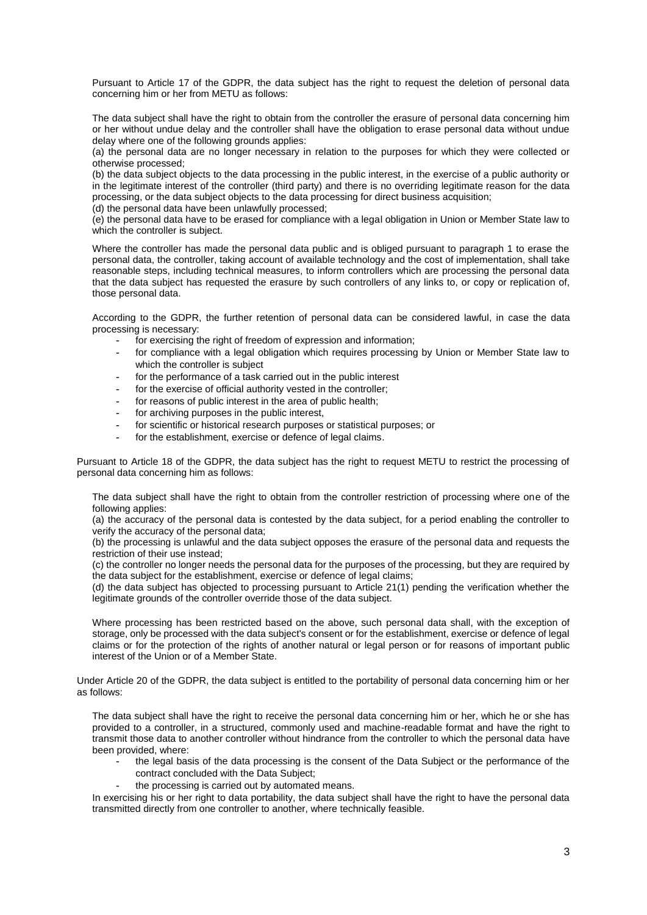Pursuant to Article 17 of the GDPR, the data subject has the right to request the deletion of personal data concerning him or her from METU as follows:

The data subject shall have the right to obtain from the controller the erasure of personal data concerning him or her without undue delay and the controller shall have the obligation to erase personal data without undue delay where one of the following grounds applies:

(a) the personal data are no longer necessary in relation to the purposes for which they were collected or otherwise processed;

(b) the data subject objects to the data processing in the public interest, in the exercise of a public authority or in the legitimate interest of the controller (third party) and there is no overriding legitimate reason for the data processing, or the data subject objects to the data processing for direct business acquisition;

(d) the personal data have been unlawfully processed;

(e) the personal data have to be erased for compliance with a legal obligation in Union or Member State law to which the controller is subject.

Where the controller has made the personal data public and is obliged pursuant to paragraph 1 to erase the personal data, the controller, taking account of available technology and the cost of implementation, shall take reasonable steps, including technical measures, to inform controllers which are processing the personal data that the data subject has requested the erasure by such controllers of any links to, or copy or replication of, those personal data.

According to the GDPR, the further retention of personal data can be considered lawful, in case the data processing is necessary:

- for exercising the right of freedom of expression and information;
- for compliance with a legal obligation which requires processing by Union or Member State law to which the controller is subject
- for the performance of a task carried out in the public interest
- for the exercise of official authority vested in the controller;
- for reasons of public interest in the area of public health;
- for archiving purposes in the public interest,
- for scientific or historical research purposes or statistical purposes; or
- for the establishment, exercise or defence of legal claims.

Pursuant to Article 18 of the GDPR, the data subject has the right to request METU to restrict the processing of personal data concerning him as follows:

The data subject shall have the right to obtain from the controller restriction of processing where one of the following applies:

(a) the accuracy of the personal data is contested by the data subject, for a period enabling the controller to verify the accuracy of the personal data;

(b) the processing is unlawful and the data subject opposes the erasure of the personal data and requests the restriction of their use instead;

(c) the controller no longer needs the personal data for the purposes of the processing, but they are required by the data subject for the establishment, exercise or defence of legal claims;

(d) the data subject has objected to processing pursuant to Article 21(1) pending the verification whether the legitimate grounds of the controller override those of the data subject.

Where processing has been restricted based on the above, such personal data shall, with the exception of storage, only be processed with the data subject's consent or for the establishment, exercise or defence of legal claims or for the protection of the rights of another natural or legal person or for reasons of important public interest of the Union or of a Member State.

Under Article 20 of the GDPR, the data subject is entitled to the portability of personal data concerning him or her as follows:

The data subject shall have the right to receive the personal data concerning him or her, which he or she has provided to a controller, in a structured, commonly used and machine-readable format and have the right to transmit those data to another controller without hindrance from the controller to which the personal data have been provided, where:

- the legal basis of the data processing is the consent of the Data Subject or the performance of the contract concluded with the Data Subject;
- the processing is carried out by automated means.

In exercising his or her right to data portability, the data subject shall have the right to have the personal data transmitted directly from one controller to another, where technically feasible.